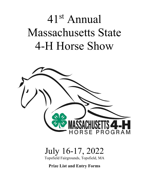# 41st Annual Massachusetts State 4-H Horse Show



## July 16-17, 2022

Topsfield Fairgrounds, Topsfield, MA

**Prize List and Entry Forms**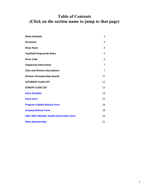### **Table of Contents (Click on the section name to jump to that page)**

| <b>Show Schedule</b>                     | 3  |
|------------------------------------------|----|
| <b>Directions</b>                        | 4  |
| <b>Show Rules</b>                        | 4  |
| <b>Topsfield Fairgrounds Rules</b>       | 6  |
| <b>Dress Code</b>                        | 6  |
| <b>Chaperone Information</b>             | 7  |
| <b>Class and Division Descriptions</b>   | 7  |
| <b>Division Championship Awards</b>      | 11 |
| <b>SATURDAY CLASS LIST</b>               | 12 |
| <b>SUNDAY CLASS LIST</b>                 | 13 |
| <b>Entry Checklist</b>                   | 14 |
| <b>Entry Form</b>                        | 15 |
| <b>Program Liability Release Form</b>    | 16 |
| <b>Jumping Release Form</b>              | 18 |
| 2021-2022 Member Health Information Form | 19 |
| <b>Show Sponsorships</b>                 | 21 |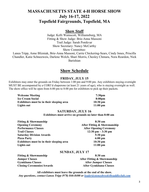### **MASSACHUSETTS STATE 4-H HORSE SHOW July 16-17, 2022 Topsfield Fairgrounds, Topsfield, MA**

### **Show Staff**

Judge: Kelli Wainscott, Williamsburg, MA Fitting & Show Judge: Brie-Anna Massoni Trail Judge: Sarah Ponikvar Show Secretary: Nancy McCarthy Show Committee:

<span id="page-2-0"></span>Lanea Tripp, Anne Blizniak, Brie-Anna Massoni, Carrie Chickering-Sears, Cindy Innes, Priscilla Chandler, Katie Schneeweis, Darlene Welch, Shari Morris, Chesley Chmura, Nora Reardon, Nick Barishian

### **Show Schedule**

### **FRIDAY, JULY 15**

Exhibitors may enter the grounds on Friday between 1:00 pm and 9:00 pm. Any exhibitors staying overnight MUST BE accompanied by a CORI'd chaperone (at least 21 years of age), who is staying overnight as well. The show office will be open from 6:00 pm to 8:00 pm for exhibitors to pick up their packets.

| <b>Welcome Meeting</b>                    | 7:30 <sub>pm</sub> |
|-------------------------------------------|--------------------|
| <b>Ice Cream Social</b>                   | 8:00 <sub>pm</sub> |
| Exhibitors must be in their sleeping area | $10:30$ pm         |
| <b>Lights out</b>                         | $11:00$ pm         |

#### **SATURDAY, JULY 16**

**Exhibitors must arrive on grounds no later than 8:00 am** 

| <b>Fitting &amp; Showmanship</b>                 | 8:30 am                              |
|--------------------------------------------------|--------------------------------------|
| <b>Opening Ceremony</b>                          | After Fitting & Showmanship          |
| <b>Performance Classes</b>                       | <b>After Opening Ceremony</b>        |
| <b>Trail Classes</b>                             | $12:30 \text{ pm} - 3:30 \text{ pm}$ |
| <b>Saturday Division Awards</b>                  | $5:30$ pm                            |
| Pizza Party                                      | $6:00 \text{ pm}$                    |
| <b>Exhibitors must be in their sleeping area</b> | $10:30$ pm                           |
| Lights out                                       | $11:00$ pm                           |
|                                                  |                                      |

#### **SUNDAY, JULY 17**

Fitting & Showmanship 8:30 am **Closing Ceremonies/Awards** 

**Jumper Classes** After **Fitting & Showmanship Gymkhana Classes**<br> **Closing Ceremonies/Awards**<br> **After Gymkhana Classes**<br> **After Gymkhana Classes** 

**All exhibitors must leave the grounds at the end of the show.**  *Any questions, contact Lanea Tripp (978) 846-8400 or [leader@stoneybrook4hsaddleclub.com](mailto:leader@stoneybrook4hsaddleclub.com)*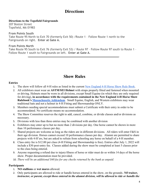### **Directions**

#### <span id="page-3-0"></span>**Directions to the Topsfield Fairgrounds**

207 Boston Street Topsfield, MA 01983

#### **From Points South**

Take Route 95 North to Exit 70 (formerly Exit 50) /Route 1 – Follow Route 1 north to the Fairgrounds on right. **Enter at Gate A.**

#### **From Points North**

Take Route 95 South to Exit 76 (formerly Exit 53) / Route 97 – Follow Route 97 south to Route 1 – Follow Route 1 south to Fairgrounds on left. **Enter at Gate A.**

### **Show Rules**

#### <span id="page-3-1"></span>**Entries**

- 1. The show will follow all 4-H rules as listed in the current [New England 4-H Horse Show Rule Book.](https://ag.umass.edu/sites/ag.umass.edu/files/pdf-doc-ppt/2022_new_england_4h_horse_show_selection_guidelines.pdf)
- 2. All exhibitors must wear an **ASTM/SEI Helmet** with straps properly fitted and fastened when mounted or driving. Helmets must be worn in all divisions, except Small Equine (in which they are only required for driving), **in accordance with the requirements contained in the New England 4-H Horse Show Rulebook's [Massachusetts Addendum](https://ag.umass.edu/sites/ag.umass.edu/files/pdf-doc-ppt/ma_addendum_to_ne_rulebook_2020.pdf)**. Small Equine, English, and Western exhibitors may wear traditional hats and not a helmet in 4-H Fitting and Showmanship ONLY.
- 3. Members needing special accommodations must submit a Certificate with their entry in order to be accommodated. No certificate means no accommodation.
- 4. The Show Committee reserves the right to add, cancel, combine, or divide classes and/or divisions as necessary.
- 5. Divisions with less than three entries may be combined with another division
- 6. Exhibitors may enter up to but no more than 2 divisions per day. One horse cannot be shown in more than 10 performance classes per day.
- 7. Shared projects are welcome as long as the riders are in different divisions. All riders will enter F&S in their age division. Horses cannot exceed 10 performance classes per day. Alumni are permitted to share projects with 4-H'ers, but are asked to refrain from schooling any horse on behalf of a 4-H member.
- 8. Class entry fee is \$12.00 per class (4-H Fitting and Showmanship is free). Entries after July 1, 2022 will include a \$30 post-entry fee. Classes added during the show must be completed at least 5 classes prior to the class being entered.
- 9. Anyone requesting a refund due to injury/illness of horse or rider must do so within 14 days of the horse show. Proper documentation must be provided.
- 10. *There will be an additional \$40 fee for any checks returned by the bank as unpaid.*

#### **Participants**

- 1. **NO stallions** or **wet mares** allowed.
- 2. Only participants are allowed to ride or handle horses entered in the show, on the grounds. *NO trainer, instructor, or parent, except those entered in the alumni division, will be allowed to ride or handle the*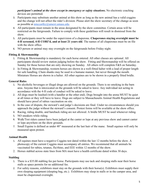*participant's animal at the show except in emergency or safety situations.* No electronic coaching devices are permitted.

- 3. Participants may substitute another animal at this show as long as the new animal has a valid coggins and the change will not affect the rider's division. Please alert the show secretary of the change as soon as possible at [nmccarthy@umext.umass.edu.](mailto:nmccarthy@umext.umass.edu)
- 4. All participants must remain in the areas designated by the show committee. Certain areas will be restricted on the fairgrounds. Failure to comply with these guidelines will result in dismissal from the show.
- 5. All participants must be under the supervision of a chaperone. **Chaperones staying overnight must be 4-H screened, 4-H CORI'd, and at least 21 years old**. The names of all chaperones must be on file with the show office.
- 6. NO person or animal may stay overnight on the fairgrounds before Friday night.

### **Fitting & Showmanship**

- 1. Fitting & Showmanship is mandatory for each horse entered. All other classes are optional. All participants should review station judging before the show. Fitting and Showmanship will be offered on Sunday for those horses that are only showing on Sunday. All others will complete F&S on Saturday.
- 2. In Fitting & Showmanship, western horses are shown in a well-fitted halter with a lead of proper length for safe handling. Chain shanks may be used in a humane manner, but never through the mouth. Miniature Horses are shown in a halter. All other equines are to be shown in a properly fitted bridle.

### **General Rules**

- 1. No alcoholic beverages or illegal drugs are allowed on the grounds. There is no smoking in the barn area. Anyone that is intoxicated on the grounds will be asked to leave. Any individual not acting in accordance with the 4-H code of conduct will be asked to leave.
- 2. All dogs must be leashed (with a handler at the other end). Dogs brought into the arena MUST be quiet at all times or they will have to leave. Dogs are subject to Massachusetts Animal Health Regulations and should have proof of rabies vaccination on site.
- 3. In the case of dispute, the steward's and judge's decisions are final. Under no circumstances should you approach the judge without the steward's consent. Protest forms will be available at the show office.
- 4. Racing, riding double, and bareback riding are not allowed. A bridle MUST be used whenever riding.
- 5. NO sneakers while riding.
- 6. Walk/Trot riders cannot have been judged at the canter or lope at any previous show and cannot canter or lope anywhere on the show grounds.
- 7. Small Equine is defined as under 48" measured at the last hair of the mane. Small equines will only be measured upon protest.

### **Animal Health**

- 1. All equines must have a negative Coggins test dated within the last 12 months before the show. A photocopy of the current Coggins must accompany all entries. We recommend that all animals be vaccinated for rabies, tetanus, flu/rhino, and EEE within 12 months of the show.
- 2. Horses stabled across state lines from MA must have a health certificate dated within 30 days.

### **Stabling**

- 1. There is a \$35.00 stabling fee per horse. Participants may use tack and sleeping stalls near their horse stalls as space permits for no additional fee.
- 2. For safety reasons, exhibitors must stay on the grounds with their horse(s). Exhibitors must supply their own sleeping equipment (sleeping bag, etc.). Exhibitors may sleep in stalls or in the camper area, and must be chaperoned overnight.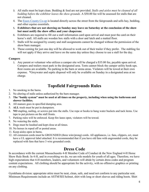- 3. All stalls must be kept clean. Bedding & feed are not provided. *Stalls and aisles must be cleaned of all bedding before the exhibitor leaves the show grounds.* A \$50.00 fee will be assessed for stalls that are not cleaned.
- 4. The [Essex County Co-op](https://essexcountycoop.com/) is located directly across the street from the fairgrounds and sells hay, bedding, and other equine essentials.
- 5. **Exhibitors that are not showing on Sunday may leave on Saturday at the conclusion of the show but must notify the show office and your chaperone**.
- 6. Exhibitors are required to fill out a stall information card upon arrival and must post the card on their horse's stall. All stalls are wooden box stalls with a door and latch and a matted floor.
- 7. Stalls will be assigned by county and stall assignments cannot be changed without the permission of the show/barn manager.
- 8. Those coming for just one day will be allowed to work out of their trailer if they prefer. The stabling fee will not apply if they arrive and leave on the same day unless they choose to use a stall for the day.

#### **Campers**

1. Any parent or volunteer who utilizes a camper site will be charged a \$35.00 fee, payable upon arrival. Campers and trailers must park in the designated area. Tents cannot block the camper utility hook-ups. Rest rooms are available. No parking in the barn or arena areas. Violators will be towed at their own expense. \*Greywater and septic disposal will only be available on Sunday in a designated area at no charge.

### **Topsfield Fairgrounds Rules**

- <span id="page-5-0"></span>1. No smoking in the barns.
- 2. No altering of stalls unless authorized by the barn manager.
- 3. **The "buddy system" must be used at all times on the property, including when using the bathroom and shower facilities.**
- 4. All manure goes in specified dumping area.
- 5. **ALL** trash must be put in dumpsters.
- 6. **NO** stapling, nailing, or screws put into the stalls. Use rope or hooks to hang water buckets and tack items. Use tape to put pictures on the stall fronts.
- 7. Parking rules will be enforced. Keep fire lanes open, violators will be towed.
- 8. No watering the stalls.
- 9. Dogs must be leashed and kept close at all times.
- 10. No horses in roped off or posted areas.
- 11. Keep aisles open in barns.
- 12. All extension cords must be GROUNDED (three wire/prong) cords. All appliances, i.e. fans, clippers, ect, must have a UL approval label attached. It is recommended that if you have old fans with ungrounded cords, they be replaced with fans that have 3 wire grounded cords.

### **Dress Code**

<span id="page-5-1"></span>In accordance with the current Massachusetts 4-H Member Code of Conduct & the New England 4-H Horse Show Rule Book: In 4-H, and in everything we do, we are role models for youth of all ages. Therefore, we have high expectations that 4-H members, leaders, and volunteers will abide by certain dress codes and program content expectations. All clothing should be appropriate for the activity, with no offensive graphics or printing on any clothing.

Gymkhana division: appropriate attire must be neat, clean, safe, and need not conform to any particular seat. Minimum Requirements include an ASTM/SEI helmet, shirt with long or short sleeves and riding boots. Shirt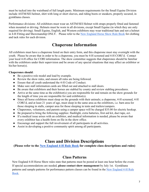must be tucked into the waistband of full length pants. Minimum requirements for the Small Equine Division include ASTM/SEI helmet, shirt with long or short sleeves, and riding boots or sneakers, properly secured, in gymkhana classes.

Performance divisions: All exhibitors must wear an ASTM/SEI Helmet with straps properly fitted and fastened when mounted or driving. Helmets must be worn in all divisions, except Small Equine (in which they are only required for driving). Small Equine, English, and Western exhibitors may wear traditional hats and not a helmet in 4-H Fitting and Showmanship ONLY. Please refer to the [New England Horse Show Rule Book](https://ag.umass.edu/sites/ag.umass.edu/files/pdf-doc-ppt/2022_new_england_4h_horse_show_selection_guidelines.pdf) for clothing and tack rules for each division.

### **Chaperone Information**

<span id="page-6-0"></span>All exhibitors must have a chaperone listed on their entry form, and this chaperone must stay overnight with the youth. Please be aware that in order to be a chaperone, you must be 4-H screened and 4-H CORI'd. Contact your local 4-H office for CORI information. The show committee suggests that chaperones should be familiar with the exhibitors under their supervision and be aware of any special situations that may affect an exhibitor or his/her horse(s).

#### **Chaperones should**:

- Be a positive role model and lead by example.
- Review the show rules, and ensure all rules are being followed.
- Ensure that all youth understand the 4-H Code of Conduct.
- Make sure stall information cards are filled out and attached to stall doors.
- Be aware that exhibitors and their horses are stabled by county and review stabling procedures.
- Arrive at the same time as the exhibitor(s) you are responsible for and remain on the show grounds for the length of time you are responsible for said exhibitor(s).
- Since all horse exhibitors must sleep on the grounds with their animals; a chaperone, 4-H screened, 4-H CORI'd, and at least 21 years of age, must sleep in the same area as the exhibitors, i.e. barn area for those sleeping in stalls, camper area for those sleeping in tents and trailers/campers.
- Chaperones, volunteers, and parents using a camper space will be charged \$35.00 for electric hookup.
- Be prepared to bring the following supplies: flashlight, extra batteries, first aid kit, duct tape, ect.
- If a medical issue arises with an exhibitor, and medical information is needed, please be aware that every exhibitor has a health form on file in the show office.
- Encourage and support the full involvement of all participants in all activities.
- Assist in developing a positive community spirit among all participants.

### **Class and Division Descriptions**

<span id="page-6-1"></span>**(Please refer to the [New England 4-H Rule Book](https://ag.umass.edu/sites/ag.umass.edu/files/pdf-doc-ppt/2022_new_england_4h_horse_show_selection_guidelines.pdf) for complete class descriptions and rules)** 

### **Class Patterns**

New England 4-H Horse Show rules state that patterns must be posted at least one hour before the event. If special accommodations are needed, **please contact show management** by July 1st. Gymkhana patterns and sample patterns for performance pattern classes can be found in the [New England 4-H Rule](https://ag.umass.edu/sites/ag.umass.edu/files/pdf-doc-ppt/2022_new_england_4h_horse_show_selection_guidelines.pdf)  [Book.](https://ag.umass.edu/sites/ag.umass.edu/files/pdf-doc-ppt/2022_new_england_4h_horse_show_selection_guidelines.pdf)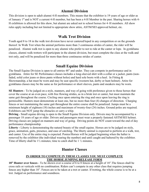### **Alumni Division**

This division is open to adult alumni 4-H members. This means that the exhibitor is 19 years of age or older as of January 1<sup>st</sup> and is NOT a current 4-H member, but has been a 4-H Member in the past. Sharing horses with 4-H exhibitors is allowed for this show, but alumni are asked not to school horses for 4–H members. All show rules apply including but not limited to appropriate show attire, ASTM/SEI approved helmet, etc.

### **Walk Trot Division**

Youth aged 8 to 18 in the walk trot division have never cantered/loped in any competition or on the grounds thereof. In Walk Trot when the animal performs more than 3 continuous strides of canter, the rider will be penalized. Alumni walk trot is open to any alumni who prefer to not to ride at the canter or lope. In gymkhana classes, alumni walk trotters will participate in the alumni division, but must complete the class at the walk and trot only, and will be penalized for more than three continuous strides of canter.

### **Small Equine Division**

The Small Equine Division is open to all entries 48" and under. They can compete in performance and in gymkhana. Attire for SE Performance classes includes a long-sleeved shirt with a collar or a jacket, pants (nonfaded, solid color jeans or dress pants without holes) and hard sole boots with a heel. In Fitting & Showmanship, a hat must be worn and may be seat specific (western hat, derby or hunt helmet). Attire for gymkhana classes may be the same as for performance or short sleeves, pants and sneakers may be worn.

**SE Hunters** - To be judged on a style, manners, and way of going with preference given to those horses that cover the course at an even pace, with free flowing strides, as in a brisk trot or canter, but must maintain the same gait throughout the course. Circling once upon entering the ring and once upon leaving the ring is permissible. Hunters must demonstrate at least one, but no more than four (4) changes of direction. Charging fences or not maintaining the same gait throughout the entire course shall be penalized. Jumps must be a minimum height of eighteen (18) inches and maximum of twenty-four (24) inches. Ground poles are required. Exhibitors can NOT jump the obstacles or carry a whip.

**Driving** - Small equine driving is open to the Small Equine Division only. Drivers may be accompanied by a passenger 18 years of age or older. Drivers and passengers must wear a properly fastened ASTM/SEI helmet. Driving classes are judged on manners and way of going. Driving points do NOT count toward the end of day performance championship.

Liberty - Liberty is demonstrating the natural beauty of the small equine. Horses are to be judged on style, grace, animation, gaits, presence, and ease of catching. The liberty animal is expected to perform at a walk, trot, and canter. Use of the entire ring is expected. Ponies/Horses will be judged beginning when the halter is removed by the exhibitor (the individual wearing the number) and until caught and haltered by the exhibitor. Time of liberty shall be 1½ minutes; time to catch shall be 1 ½ minutes.

### **Hunter Classes**

#### **IN ORDER TO COMPETE IN THESE CLASSES YOU MUST COMPLETE THE HORSE JUMPING RELEASE FORM**

**18" Hunter over fences** - To be shown over a course of 6 to 8 fences at a height of 18".The fences shall be cross rails or verticals with no combination. Riders can't compete in any other class that requires jumping fences any higher than 18". Fences are to be taken at a trot or canter. If trotting, the whole course is to be at a trot. Judged on performance and soundness.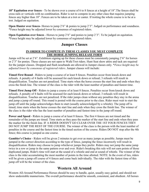**18" Equitation over fences** - To be shown over a course of 6 to 8 fences at a height of 18".The fences shall be cross rails or verticals with no combination. Rider is not to compete in any other class that requires jumping fences any higher than 18". Fences are to be taken at a trot or canter. If trotting the whole course is to be at a trot. Judged on equitation.

**Open Hunter over fences**- Horses to jump 2'6" & ponies to jump 2'3". Judged on performance and soundness. \*Fence height may be adjusted lower by consensus of registered riders.

**Open Equitation over fences** - Horses to jump 2'6" and ponies to jump 2'3". To be judged on equitation. \*Fence height may be adjusted lower by consensus of registered riders.

### **Jumper Classes**

#### **IN ORDER TO COMPETE IN THESE CLASSES YOU MUST COMPLETE THE HORSE JUMPING RELEASE FORM**

Jumps will be set at 2'6". Exhibitors signing up for these classes must be consistently jumping 2'6" for horses or 2'3" for ponies. These classes are not open to Walk/Trot riders. Hunt Seat show attire and tack are required for the jumper classes. Dropped and flash nosebands are allowed in Jumper classes only. \**Fence height may be adjusted lower by consensus of registered riders*. Jumper classes will include:

**Timed First Round** - Riders to jump a course of at least 8 fences. Penalties occur from knock down and refusals. A penalty of 4 faults will be assessed for each knock down or refusal; 3 refusals will result in disqualification. Touches are not penalized. Time starts when the horse crosses the start line and ends when they cross the finish line. The winner of the class is the rider with the least number of penalties and fastest time.

**Timed First Jump Off** - Riders to jump a course of at least 8 fences. Penalties occur from knock down and refusals. A penalty of 4 faults will be assessed for each knock down or refusal; 3 refusals will result in disqualification. Touches are not penalized. If the rider jumps clean without any penalties they stay in the arena and jump a jump off round. This round is posted with the course prior to the class. Rider must wait to start the jump off until the judge acknowledges them to start (usually acknowledged by a whistle). The jump off is timed; time starts when the horse crosses the start line and ends when they cross the finish line. The winner of the class is the rider who has the least number of penalties and fastest time in the jump off round.

**Power and Speed** - Riders to jump a course of at least 8 fences. The first 4 fences are not timed and the remainder of the jumps are timed. Time starts as they pass the marker of the start line and ends when they pass the marker for the finish line. IF A RIDER DOESN'T GO CLEAR OVER THE 1ST FOUR FENCES THEY DO NOT JUMP THE REST OF THE COURSE. The winner of the class is the person with the least number of penalties in the course and the fastest time in the timed section of the course. Riders DO NOT stop after the 4th fence; this course is jumped as one course.

**Gambler's Choice** - Riders will be given 2 minutes to get over as many jumps as possible. Jumps must be jumped in the correct direction according to the type of fence, jumping the fence incorrectly will result in disqualification. Riders may choose to jump whichever jumps they prefer. Riders may not jump the same jump twice in a row or jump in the same pattern over and over. Rider's breaking this rule will not earn points of those duplicated jumps. Rider's time will start at the sound of a whistle and end at sound of whistle. The winner of the class is the rider accumulating the most number of points in the time allotted. NOTE: In the event of ties, riders will be given a jump off course of 4 fences and come back individually. The rider with the fastest time of this jump off will be the winner of the class.

### **Western All Around**

Western All-Around Performance Horses should be easy to handle, quiet, usually easy gaited, and should not show undesirable mannerisms. The overall performance should be smooth, consistent, and obedient. All horses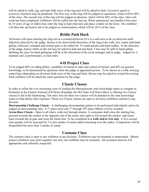will be asked to walk, jog, and lope both ways of the ring and will be asked to back. Excessive speed or excessive slowness may be penalized. The first way of the ring will be judged on equitation, which will be 40% of the class. The second way of the ring will be judged on pleasure, which will be 40% of the class. Once rail work has been completed, exhibitors will be called into the line-up. When announced, one handler (who must be 14 years of age or older) may enter the ring to help strip tack and place a halter on the horse. The exhibitor will then line up head to tail to be judged on conformation, which will be 20 % of the class.

### **Bridle Path Hack**

All horses will upon entering the ring trot in a counterclockwise (if it is a safe area to do so) direction until otherwise directed by the judge. Horses to be shown both directions of the ring at the walk, trot, canter and hand gallop, collected, extended and normal gaits to be called for. To stand quietly and back readily. At the direction of the judge, horses while on the rail may be asked to halt and rein back. Class may be split to hand gallop. Splitting the class for hand galloping will be at the discretion of the event manager and/or judge. Judged on 1) manners and 2) performance, in that order.

### **4-H Project Class**

To be judged 60% on riding ability, suitability of mount to rider and control of mount; and 40% on general knowledge, to be determined by questions from the judge or appointed person. To be shown at a walk, trot/jog, canter/lope (depending on division) both ways of the ring and back. Horses may be asked to extend the trot/jog. Each exhibitor will be asked the same questions by the judge.

### **Classic Classes**

In order to offset the ever increasing costs of sending the Massachusetts state knowledge teams to compete in Kentucky at the Eastern National 4-H Horse Roundup, the MA State 4-H Horse Show is offering two Classic classes to aid in the fundraising. The entry fees for these two classes will be donated to the state knowledge teams to help defray their expenses. These two Classic classes are open to all horse exhibitors entered in any division

**Showmanship Challenge Classic** - A challenging showmanship pattern to be performed individually and to be judged on showmanship only. A 1<sup>st</sup> place prize and 1<sup>st</sup> through  $10<sup>th</sup>$  place ribbons will be awarded. **Arena Race Classic** - Open to all riders, walk-trot through alumni. A contestant shall cross the starting line, proceed towards the marker at the opposite end of the arena, turn right or left around the marker, and return back towards the in-gate and cross the finish line. To be completed at **a walk and/or trot only**. A five second time penalty will be assessed for 3 or less strides of canter and/or knocking over the maker. Competitors will be disqualified for more than 3 strides of canter.

### **Costume Class**

The costume class is open to any exhibitor in any division. Exhibitors may be mounted or unmounted. Shared project exhibitors may enter together, but only one exhibitor may be mounted. All costumes must be 4-H appropriate and culturally respectful.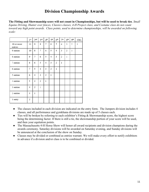### **Division Championship Awards**

<span id="page-10-0"></span>**The Fitting and Showmanship score will not count in Championships, but will be used to break ties**. *Small Equine Driving, Hunter over fences, Classics classes, 4-H Project class, and Costume class do not count toward any high point awards. Class points, used to determine championships, will be awarded on following scale:*

|                       | 1 <sup>st</sup> | 2 <sup>nd</sup> | 3 <sup>rd</sup> | 4 <sup>th</sup> | 5 <sup>th</sup> | 6 <sup>th</sup> | 7 <sup>th</sup> | 8 <sup>th</sup> | 9 <sup>th</sup> | 10th         |
|-----------------------|-----------------|-----------------|-----------------|-----------------|-----------------|-----------------|-----------------|-----------------|-----------------|--------------|
| 10 or more<br>entries | 11              | 9               | 8               | 7               | 6               | 5               | 4               | 3               | 2               | $\mathbf{1}$ |
| 9 entries             | 10              | 8               | 7               | 6               | 5               | 4               | 3               | $\overline{2}$  | $\mathbf{1}$    |              |
| 8 entries             | 9               | 7               | 6               | 5               | 4               | 3               | 2               | $\mathbf{1}$    |                 |              |
| 7 entries             | 8               | 6               | 5               | 4               | 3               | 2               | $\mathbf{1}$    |                 |                 |              |
| 6 entries             | 7               | 5               | 4               | 3               | $\overline{2}$  | 1               |                 |                 |                 |              |
| 5 entries             | 6               | $\overline{4}$  | 3               | $\overline{2}$  | $\mathbf{1}$    |                 |                 |                 |                 |              |
| 4 entries             | 5               | 3               | 2               | $\mathbf{1}$    |                 |                 |                 |                 |                 |              |
| 3 entries             | 4               | 2               | $\mathbf{1}$    |                 |                 |                 |                 |                 |                 |              |
| 2 entries             | 3               | $\mathbf{1}$    |                 |                 |                 |                 |                 |                 |                 |              |
| 1 entry               | 2               |                 |                 |                 |                 |                 |                 |                 |                 |              |

- The classes included in each division are indicated on the entry form. The Jumpers division includes 4 classes, and all performance and gymkhana divisions are made up of 5 classes each.
- Ties will be broken by referring to each exhibitor's Fitting & Showmanship score, the highest score being the determining factor. If there is still a tie, the showmanship portion of your score will be used, and then your equitation points.
- The Massachusetts 4-H Horse Show will honor all award recipients and division champions during the awards ceremony. Saturday divisions will be awarded on Saturday evening, and Sunday divisions will be announced at the conclusion of the show on Sunday.
- Classes may be divided or combined as entries warrant. We will make every effort to notify exhibitors in advance if a division and/or class is to be combined or divided.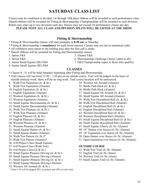### **SATURDAY CLASS LIST**

<span id="page-11-0"></span>Classes may be combined or divided. 1st through 10th place ribbons will be awarded in each performance class. Danish ribbons will be awarded for Fitting & Showmanship. Championships will be awarded in each division. Riders may enter up to two divisions each day. Horses may not exceed 10 performance classes per day.

**PLEASE NOTE ALL CLASS AND DIVISION SPLITS WILL BE LISTED AT THE SHOW.**

#### **Fitting & Showmanship**

- \* Fitting & Showmanship classes will start promptly at **8:30 am** on Saturday.
- **\*** Fitting & Showmanship is **mandatory** for each horse entered. Classes may not run in numerical order.
- **\*** All exhibitors must report to the holding area after the first call is made.
- \* Danish ribbons will be awarded for Fitting and Showmanship classes.
- 1. Junior F&S
- 2. Senior F&S
- 3. Junior Small Equine (SE) F&S
- 4. Senior Small Equine (SE) F&S
- 5. Alumni F&S
- 6. Showmanship Challenge Classic (open to all)
- 7. F&S Championship (open to those who qualify)

#### **CLASSES**

- \* Classes 8 51 will be held Saturday beginning after Fitting and Showmanship.
- \* Trail classes will run from 12:30 3:30 pm on an outside course. Trail will be judged on the basis of outside obstacle work; there will be no ring work. Trail course location will be announced.
- 8. Walk/Trot Equitation (Jr. & Sr.)
- 9. Walk/Trot Equitation (Alumni)
- 10. English Equitation (Jr. & Sr.)
- 11. English Equitation (Alumni)
- 12. Western Equitation (Jr. & Sr.)
- 13. Western Equitation (Alumni)
- 14. Small Equine Showmanship (Jr. & Sr.)
- 15. Small Equine Showmanship (Alumni)
- 16. Walk/Trot Pleasure (Jr. & Sr.)
- 17. Walk/Trot Pleasure (Alumni)
- 18. English Pleasure (Jr. & Sr.)
- 19. English Pleasure (Alumni)
- 20. Western Pleasure (Jr. & Sr.)
- 21. Western Pleasure (Alumni)
- 22. Small Equine Hunter (Jr. & Sr.)
- 23. Small Equine Hunter (Alumni)
- 24. Walk/Trot Pattern (Jr./Sr.)\*
- 25. Walk/Trot Pattern (Alumni)\*
- 26. 4-H Project Class (Small Equine)
- 27. 4-H Project Class (Walk Trot)
- 28. 4-H Project Class (Jr & Sr.)
- 29. Small Equine Pleasure Driving (Jr. & Sr.)
- 30. Small Equine Pleasure Driving (Alumni)
- 31. Small Equine Obstacle Driving (Jr. & Sr.)
- 32. Small Equine Obstacle Driving (Alumni)
- 33. Western All Around (Jr. & Sr.)
- \* Class # 24 will be judged 50% on pattern and 50% on rail work
- 34. Western All Around (Alumni)
- 35. Bridle Path Hack (Jr. & Sr.)
- 36. Bridle Path Hack (Alumni)
- 37. Small Equine All Around (Jr. & Sr.)
- 38. Small Equine All Around (Alumni)
- 39. Walk/Trot Disciplined Rail (Jr. & Sr.)
- 40. Walk/Trot Disciplined Rail (Alumni)
- 41. English Disciplined Rail (Jr. & Sr.)
- 42. English Disciplined Rail (Alumni)
- 43. Western Disciplined Rail (Jr. & Sr.)
- 44. Western Disciplined Rail (Alumni)
- 45. Small Equine Disciplined Rail (Jr. & Sr.)
- 46. Small Equine Disciplined Rail (Alumni)
- 47. Small Equine Liberty (Jr./Sr./Alumni)
- 48. 18" Hunter over fences (Jr./Sr./Alumni)
- 49. 18" Equitation over fences (Jr./Sr./Alumni)
- 50. Open Hunter over fences (Jr./Sr./Alumni)
- 51. Open Equitation over fences (Jr./Sr./Alumni)

#### **OUTSIDE COURSE**

- 52. Walk/Trot Trail (Jr./Sr./Alumni)
- 53. English Trail (Jr./Sr./Alum)
- 54. Western Trail (Jr./Sr./Alum)
- 55. Small Equine Trail (Jr./Sr./Alumni)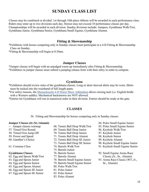### **SUNDAY CLASS LIST**

<span id="page-12-0"></span>Classes may be combined or divided. 1st through 10th place ribbons will be awarded in each performance class. Riders may enter up to two divisions each day. Horses may not exceed 10 performance classes per day. Championships will be awarded in each division. Sunday divisions include: Jumpers, Gymkhana Walk/Trot, Gymkhana Junior, Gymkhana Senior, Gymkhana Small Equine, Gymkhana Alumni.

#### **Fitting & Showmanship**

\*Exhibitors with horses competing only in Sunday classes must participate in a 4-H Fitting & Showmanship Class on Sunday.

\*Fitting & Showmanship will begin at 8:30am.

#### **Jumper Classes**

\*Jumper classes will begin with an unjudged warm up immediately after Fitting & Showmanship. \*Exhibitors in jumper classes must submit a jumping release form with their entry in order to compete.

#### **Gymkhana**

\*Exhibitors should review rules of the gymkhana classes. Long or short sleeved shirts may be worn. Shirts must be tucked into the waistband of full length pants.

\*For safety reasons, the [Massachusetts 4-H Horse Show Addendum](https://ag.umass.edu/sites/ag.umass.edu/files/pdf-doc-ppt/ma_addendum_to_ne_rulebook_2020.pdf) allows mixing tack (i.e. English bridle with a Western saddle). Mechanical hackamores are NOT allowed.

\*Entries for Gymkhana will run in numerical order in their division. Entries should be ready at the gate.

#### **CLASSES**

56. Fitting and Showmanship for horses competing only in Sunday classes

#### **Jumper Classes (Jr./Sr./Alumni)**

- -- Jumper classes warmup
- 57. Timed First Round
- 58. Timed First Jump Off
- 59. Power and Speed
- 60. Gambler's Choice
- 61. Costume Class

#### **Gymkhana Classes**

- 62. Egg and Spoon Walk/Trot
- 63. Egg and Spoon Junior
- 64. Egg and Spoon Senior
- 65. Egg and Spoon Alumni
- 66. Egg and Spoon SE Junior
- 67. Egg and Spoon SE Senior
- 68. Tennis Ball Drop Walk/Trot
- 69. Tennis Ball Drop Junior
- 70. Tennis Ball Drop Senior
- 71. Tennis Ball Drop Alumni
- 72. Tennis Ball Drop SE Junior
- 73. Tennis Ball Drop SE Senior
- 74. Barrels Walk/Trot
- 75. Barrels Junior
- 76. Barrels Senior
- 77. Barrels Alumni
- 78. Barrels Small Equine Junior
- 79. Barrels Small Equine Senior
- 80. Poles Walk/Trot
- 81. Poles Junior
- 82. Poles Senior
- 83. Poles Alumni
- 84. Poles Small Equine Junior
- 85. Poles Small Equine Senior
- 86. Keyhole Walk/Trot
- 87. Keyhole Junior
- 88. Keyhole Senior
- 89. Keyhole Alumni
- 90. Keyhole Small Equine Junior
- 91. Keyhole Small Equine Senior
- 92. Small Equine Arena Race Classic (Jr., Sr., Alumni)
- 93. Arena Race Classic (WT, Jr., Sr., Alumni)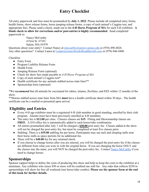### **Entry Checklist**

<span id="page-13-0"></span>All entry paperwork and fees must be postmarked by **July 1, 2022**. Please include all completed entry forms, health forms, show release forms, horse jumping release forms, a copy of each animal's Coggins test, and appropriate fees. Please send a check, made out to the **4-H Horse Program of MA** for each 4-H exhibitor. **A blank check to allow for corrections and/or post-entries is highly recommended**. Send completed paperwork to:

> Nancy McCarthy 4 First St. #7101 Salem, MA 01970

Questions about your entry? Contact Nancy at [nmccarthy@umext.umass.edu](mailto:nmccarthy@umext.umass.edu) or (978) 498-4826 Any other questions? Contact Lanea at [Leader@stoneybrook4hsaddleclub.com](mailto:Leader@stoneybrook4hsaddleclub.com) or (978) 846-8400

Checklist:

- Entry Form
- Program Liability Release Form
- Health Form
- Jumping Release Form (optional)
- Check for show fees made payable to *4-H Horse Program of MA*
- Copy of each animal's Coggins test\*
- Health certificate for any animals stabled across state lines\*\*
- Sponsorship form (optional)

\*We *recommend* that all animals be vaccinated for rabies, tetanus, flu/rhino, and EEE within 12 months of the show.

\*\*Horses stabled across state lines from MA **must** have a health certificate dated within 30 days. The health certificate can be e-mailed or presented upon arrival.

### **Eligibility and Entries**

- Every 4-H age exhibitor must be a registered 4-H club member in good standing, enrolled by their club program. Alumni must have been previously enrolled as 4-H members.
- The entry fee is **\$12.00** per class. Classics classes are **\$15**. Fitting and Showmanship classes are **FREE**. A \$10 office fee is automatically added to each horse/rider combination.
- All entries postmarked after July 1 will be charged a **\$30.00** post entry fee. Classes added at the show will not be charged the post-entry fee, but must be completed at least five classes prior.
- Stabling: There is a **\$35.00** stabling fee per horse. Participants may use tack and sleeping stalls near their horse stalls as space permits for no additional fee.
- There will be a **\$40.00** fee for any returned check.
- If you choose to change horses after you are entered, you will be charged the post-entry fee if the classes are different from what you were in with the original horse. If you are changing the horse ONLY and the classes stay the same, you will NOT be charged the post-entry fee. Contact [Nancy McCarthy](mailto:nmccarthy@umext.umass.edu) if you need to change horses.

### **Sponsorships**

Sponsor support helps to defray the costs of producing this show and help us keep the costs to the exhibitor at a minimum. Any exhibitor who raises \$50 or more will be credited one stall fee. Any rider that collects \$250 in sponsorships will show for free all weekend (one horse/rider combo). **Please see the sponsor form at the end of this book for further details.**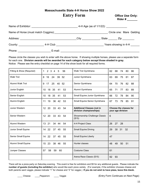**Massachusetts State 4-H Horse Show 2022**

### **Entry Form Coffice Use Only:**

**Rider # \_\_\_\_\_\_\_**

<span id="page-14-0"></span>

|                        | Name of Exhibitor: ____________________________ |                           |
|------------------------|-------------------------------------------------|---------------------------|
|                        |                                                 | Circle one: Mare Gelding  |
|                        |                                                 | State _______ Zip _______ |
| County: ______________ | 4-H Club _________________________              | Years showing in 4-H      |
|                        | E-mail:                                         |                           |

Please circle the classes you wish to enter with the above horse. If showing multiple horses, please use a separate form for each one. **Division awards will be awarded for each category below** *except* **those shaded in gray.** Notice: Please see the entry checklist on page 14 of the show book for all required forms.

| Fitting & Show (Required) | Walk Trot Gymkhana<br>$2 \overline{3}$<br>56<br>1<br>$\overline{4}$<br>5 |                                                              | 68<br>62<br>74<br>80<br>86                  |
|---------------------------|--------------------------------------------------------------------------|--------------------------------------------------------------|---------------------------------------------|
| <b>Walk Trot</b>          | 24<br>39<br>52<br>8<br>16                                                | Junior Gymkhana                                              | 69<br>63<br>75<br>81<br>87                  |
| Alumni Walk Trot          | 17<br>25<br>40<br>52<br>9                                                | Senior Gymkhana                                              | 70<br>76<br>82<br>88<br>64                  |
| Junior English            | 18<br>35<br>53<br>10<br>41                                               | Alumni Gymkhana                                              | 89<br>65<br>71<br>83<br>77                  |
| Senior English            | 18<br>35<br>41<br>53<br>10                                               | Small Equine Junior Gymkhana                                 | 66<br>72<br>78<br>84<br>90                  |
| Alumni English            | 19<br>36<br>42<br>53<br>11                                               | Small Equine Senior Gymkhana                                 | 67<br>73<br>79<br>85<br>91                  |
| Junior Western            | 20<br>33<br>43<br>12<br>54                                               | <b>Additional Classes (not in</b><br>division championships) | Choose the classes for<br>your age division |
| Senior Western            | 20<br>33<br>12 <sup>2</sup><br>43<br>54                                  | Showmanship Challenge Classic<br>(\$15)                      | 6                                           |
| Alumni Western            | 21<br>34 44<br>13<br>54                                                  | 4-H Project Class                                            | 27<br>28<br>26                              |
| Junior Small Equine       | 22<br>37<br>45<br>14<br>55                                               | <b>Small Equine Driving</b>                                  | 30<br>32<br>29<br>31                        |
| Senior Small Equine       | 22<br>37<br>45<br>14<br>55                                               | <b>Small Equine Liberty</b>                                  | 47                                          |
| Alumni Small Equine       | 23<br>38 46<br>55<br>15                                                  | Hunter classes                                               | 48<br>49<br>50<br>51                        |
| Jumper Classes            | 59<br>58<br>60<br>57                                                     | <b>Costume Class</b>                                         | 61                                          |
|                           |                                                                          | Arena Race Classic (\$15)                                    | 92<br>93                                    |

There will be a pizza party on Saturday evening. This event is free for exhibitors and \$5 for any additional guests. Please indicate the **number of guests (including the exhibitor)** who would like each pizza variety. (For example, if the exhibitor chooses cheese and both parents want veggie, please indicate "1" for cheese and "2" for veggie.) **If you do not wish to have pizza, leave this blank.**

\_\_\_\_ Cheese \_\_\_\_Pepperoni \_\_\_\_ Veggie (Entry Form Continues on Next Page)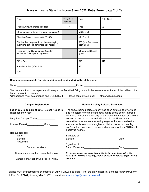### **Massachusetts State 4-H Horse Show 2022 Entry Form (page 2 of 2)**

| Fees                                                                                        | Total # of<br>classes | Cost                                 | <b>Total Cost</b> |
|---------------------------------------------------------------------------------------------|-----------------------|--------------------------------------|-------------------|
| Fitting & Showmanship (required)                                                            |                       | Free                                 | \$0               |
| Other classes entered (from previous page)                                                  |                       | $x$ \$12 each                        |                   |
| Classics Classes (classes 6, 88, 89)                                                        |                       | x \$15 each                          |                   |
| Stabling fee (required for all horses staying<br>overnight, optional for single-day horses) |                       | \$35 (one fee covers<br>both nights) |                   |
| Pizza party additional guests (free for<br>exhibitors, \$5 for parents/guests)              |                       | x \$5 per additional<br>guest        |                   |
| Office Fee                                                                                  |                       | \$10                                 | \$10              |
| Post-Entry Fee (After July 1)                                                               |                       | \$30                                 |                   |
| Total                                                                                       |                       |                                      |                   |

#### **Chaperone responsible for this exhibitor and equine during the state show:**

Name: \_\_\_\_\_\_\_\_\_\_\_\_\_\_\_\_\_\_\_\_\_\_\_\_\_\_\_\_\_\_\_\_\_\_\_\_\_\_\_\_\_\_\_\_\_\_\_\_ Phone: \_\_\_\_\_\_\_\_\_\_\_\_\_\_\_\_\_\_\_\_\_\_\_\_\_\_\_\_\_\_\_\_\_\_\_\_\_\_\_\_\_\_\_

\*I understand that this chaperone will sleep at the Topsfield Fairgrounds in the same area as the exhibitor, either in the horse barn or in a camper.

\*Chaperones must be screened and CORI'd by 4-H. Please contact your local 4-H office with questions.

| <b>Camper Registration</b>                                                | <b>Equine Liability Release Statement</b>                                                                                                                                                                  |
|---------------------------------------------------------------------------|------------------------------------------------------------------------------------------------------------------------------------------------------------------------------------------------------------|
| Fee of \$35 to be paid at gate. Do not include in<br>check for show fees. | The above-named horse or pony has been entered at my own risk<br>and is subject to the rules and regulations of this show. I agree I<br>will make no claim against any organization, committee, or persons |
| Length of Camper/Trailer                                                  | connected with this show and will not hold the Horse Show<br>committee or any other sponsoring organization responsible for                                                                                |
| License Plate #<br>State                                                  | any accidents to my son/daughter or his/her horse or pony. My<br>son/daughter has been provided and equipped with an ASTM/SEI-<br>approved helmet.                                                         |
| Hookup Needed:                                                            |                                                                                                                                                                                                            |
| Water                                                                     | Signature of                                                                                                                                                                                               |
| Electric                                                                  | Exhibitor<br>Date                                                                                                                                                                                          |
| Accessible                                                                |                                                                                                                                                                                                            |
|                                                                           | Signature of                                                                                                                                                                                               |
| <b>Camper Locations:</b>                                                  | Parent/Guardian<br>Date                                                                                                                                                                                    |
| Camper spots are first come, first serve.                                 | By signing above you agree that to the best of your knowledge, the<br>horse/pony entered is healthy, sound, and can be handled safely by this                                                              |
| Campers may not arrive prior to Friday.                                   | exhibitor.                                                                                                                                                                                                 |
|                                                                           |                                                                                                                                                                                                            |

<span id="page-15-0"></span>Entries must be postmarked or emailed by **July 1, 2022**. See page 14 for the entry checklist. Send to: Nancy McCarthy 4 First St. #7101, Salem, MA 01970 or email to: [nmccarthy@umext.umass.edu](mailto:nmccarthy@umext.umass.edu).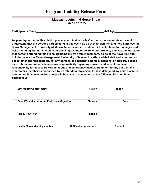### **Program Liability Release Form**

#### **Massachusetts 4-H Horse Show July 16-17, 2022**

| <b>Participant's Name</b> | 4-H Age |
|---------------------------|---------|
|---------------------------|---------|

**As parent/guardian of this child, I give my permission for his/her participation in this 4-H event. I understand that the persons participating in this event do so at their own risk and hold harmless the Show Management, University of Massachusetts and 4-H staff and 4-H volunteers for damages and risks including, but not limited to personal injury and/or death and/or property damage. I understand that persons attending this event, including my own family members, do so at their own risk and hold harmless the Show Management, University of Massachusetts, and 4-H staff and volunteers. I accept financial responsibility for any damage or accident to animals, persons, or property caused by exhibitors or animals deemed my responsibility. I give my consent and accept financial responsibility for necessary examinations and emergency medical treatment for my child or any other family member as prescribed by an attending physician. If I have delegated my child's care to another adult, all reasonable efforts will be made to contact me at the following location in an emergency:**

| <b>Emergency Contact Name</b>                  | <b>Relation</b>               | Phone#      |
|------------------------------------------------|-------------------------------|-------------|
| Parent/Guardian or Adult Participant Signature | Phone#                        | <b>Date</b> |
| <b>Family Physician</b>                        | Phone#                        |             |
| Health Plan and policy number                  | <b>Notification procedure</b> | Phone #     |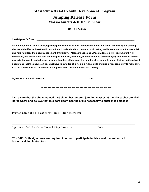### **Massachusetts 4-H Youth Development Program Jumping Release Form Massachusetts 4-H Horse Show**

**July 16-17, 2022** 

<span id="page-17-0"></span>**Participant's Name** 

**As parent/guardian of this child, I give my permission for his/her participation in this 4-H event, specifically the jumping classes at the Massachusetts 4-H Horse Show. I understand that persons participating in this event do so at their own risk and hold harmless the Show Management, University of Massachusetts and UMass Extension 4-H Program staff, 4-H volunteers, and horse show staff for damages and risks, including, but not limited to personal injury and/or death and/or property damage. In my judgment, my child has the skills to enter the jumping classes and I support his/her participation. I understand that the show staff does not have knowledge of my child's riding skills and it is my responsibility to make sure that the classes he/she has entered are appropriate to his/her abilities and training.**

**\_\_\_\_\_\_\_\_\_\_\_\_\_\_\_\_\_\_\_\_\_\_\_\_\_\_\_\_\_\_\_\_\_\_\_\_\_\_\_\_\_\_\_\_\_\_\_\_\_\_\_\_\_\_\_\_\_\_\_\_\_\_\_\_\_\_\_\_\_\_\_\_\_\_\_\_\_\_\_\_\_\_\_\_\_\_\_\_\_\_\_\_\_\_**

**Signature of Parent/Guardian Date** Date

\*\*\*\*\*\*\*\*\*\*\*\*\*\*\*\*\*\*\*\*\*\*\*\*\*\*\*\*\*\*\*\*\*\*\*\*\*\*\*\*\*\*\*\*\*\*\*\*\*\*\*\*\*

**I am aware that the above-named participant has entered jumping classes at the Massachusetts 4-H Horse Show and believe that this participant has the skills necessary to enter these classes.**

**\_\_\_\_\_\_\_\_\_\_\_\_\_\_\_\_\_\_\_\_\_\_\_\_\_\_\_\_\_\_\_\_\_\_\_\_\_\_\_\_\_\_\_\_\_\_\_\_\_\_\_\_\_\_\_\_\_\_\_\_\_\_\_\_\_\_\_\_\_\_\_\_\_\_\_\_\_\_\_\_\_\_\_\_** 

**Printed name of 4-H Leader or Horse Riding Instructor**

**\_\_\_\_\_\_\_\_\_\_\_\_\_\_\_\_\_\_\_\_\_\_\_\_\_\_\_\_\_\_\_\_\_\_\_\_\_\_\_\_\_\_\_\_\_\_\_\_\_\_\_\_\_\_\_\_\_\_\_\_\_\_\_\_\_\_\_\_\_\_\_\_\_\_\_\_\_\_\_\_\_\_\_\_\_\_\_\_\_\_\_\_\_\_\_\_\_\_\_\_\_**

Signature of 4-H Leader or Horse Riding Instructor Date

 **\*\*\* NOTE: Both signatures are required in order to participate in this event (parent and 4-H leader or riding instructor).**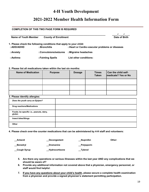### **4-H Youth Development**

### **2021-2022 Member Health Information Form**

#### <span id="page-18-0"></span>**COMPLETION OF THIS TWO PAGE FORM IS REQUIRED**

| <b>Name of Youth Member</b> | <b>County of Enrollment</b>                                        | Date of Birth                                  |  |
|-----------------------------|--------------------------------------------------------------------|------------------------------------------------|--|
|                             | 1. Please check the following conditions that apply to your child: |                                                |  |
| $\sqcap$ ADD/ADHD           | $\sqcap$ Bronchitis                                                | □Heart or Cardio-vascular problems or diseases |  |
|                             |                                                                    |                                                |  |

**□Anxiety □Convulsions/seizures □Migraine headaches**

**□Asthma □Fainting Spells List other conditions:**

#### **2. Please list all medications taken within the last six months:**

| <b>Name of Medication</b> | <b>Purpose</b> | <b>Dosage</b> | <b>Times</b><br><b>Taken</b> | Can the child self-<br>medicate? Yes or No |
|---------------------------|----------------|---------------|------------------------------|--------------------------------------------|
|                           |                |               |                              |                                            |
|                           |                |               |                              |                                            |
|                           |                |               |                              |                                            |

#### **3. Please identify allergies:**

| $\ldots$                                           |  |
|----------------------------------------------------|--|
| Does the youth carry an Epipen?                    |  |
| <b>Drug reactions/Medications</b>                  |  |
| Foods; be specific i.e., peanuts, dairy,<br>gluten |  |
| <b>Insect bites/Stings</b>                         |  |
| Other                                              |  |

**4. Please check over-the counter medications that can be administered by 4-H staff and volunteers:**

| <b>Antacid</b>  | <b>Decongestant</b>   | <b>Ibuprofen</b> | Other: |
|-----------------|-----------------------|------------------|--------|
| <b>Benedryl</b> | <b>Dramanine</b>      | __Polysporin     |        |
| _Cough Syrup    | <b>Hydrocortisone</b> | Tylenol          |        |

- **5. Are there any operations or serious illnesses within the last year AND any complications that we should be aware of?**
- **6. Provide any additional information not covered above that a physician, emergency personnel, or staff would find helpful:**
- **7. If you have any questions about your child's health, please secure a complete health examination from a physician and provide a signed physician's statement permitting participation.**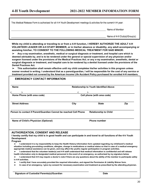This Medical Release Form is authorized for all 4-H Youth Development meetings & activities for the current 4-H year:

Name of Member

Name of 4-H Club(s)/Group(s)

**While my child is attending or traveling to or from a 4-H function, I HEREBY AUTHORIZE THE ADULT 4-H VOLUNTEER LEADER OR 4-H STAFF MEMBER, or in his/her absence or disability, any adult accompanying or assisting him/her, TO CONSENT TO THE FOLLOWING MEDICAL TREATMENT FOR SAID MINOR:**

➢ **Any x-ray examination, anesthetic, medical or surgical diagnosis or treatment, and hospital care which is deemed advisable by, and is to be rendered under the general or special supervision of any physician and/or surgeon licensed under the provisions of the Medical Practices Act; or any x-ray examination, anesthetic, dental or surgical diagnosis or treatment, and hospital care to be rendered by a dentist licensed under the provisions of the Dental Practices Act.**

➢ **This authorization shall remain effective until my child completes his/her activities in this program unless sooner revoked in writing. I understand that as a parent/guardian, I will be responsible for the cost of any service or treatment provided not covered by the American Income Life Accident Policy purchased for enrolled 4-H members.**

#### **EMERGENCY CONTACT INFORMATION**

| <b>Name</b>                                                                                                                                                                                                                                                                                                                                                                                                                                                                                                                                                                                                                                                                                                                                                                                                                          | <b>Relationship to Youth Identified Above</b> |                              |     |  |
|--------------------------------------------------------------------------------------------------------------------------------------------------------------------------------------------------------------------------------------------------------------------------------------------------------------------------------------------------------------------------------------------------------------------------------------------------------------------------------------------------------------------------------------------------------------------------------------------------------------------------------------------------------------------------------------------------------------------------------------------------------------------------------------------------------------------------------------|-----------------------------------------------|------------------------------|-----|--|
|                                                                                                                                                                                                                                                                                                                                                                                                                                                                                                                                                                                                                                                                                                                                                                                                                                      |                                               |                              |     |  |
| Home Phone (with area code)                                                                                                                                                                                                                                                                                                                                                                                                                                                                                                                                                                                                                                                                                                                                                                                                          | Cell phone (with area code)                   |                              |     |  |
| <b>Street Address</b>                                                                                                                                                                                                                                                                                                                                                                                                                                                                                                                                                                                                                                                                                                                                                                                                                | City                                          | <b>State</b>                 | Zip |  |
| Person to contact if Parent/Guardian Cannot be reached Cell Phone                                                                                                                                                                                                                                                                                                                                                                                                                                                                                                                                                                                                                                                                                                                                                                    |                                               | <b>Relationship to Child</b> |     |  |
| Name of Child's Physician (Optional)                                                                                                                                                                                                                                                                                                                                                                                                                                                                                                                                                                                                                                                                                                                                                                                                 |                                               | <b>Phone number</b>          |     |  |
| <b>AUTHORIZATION, CONSENT AND RELEASE</b><br>I hereby certify that my child is in good health and can participate in and travel to all functions of the 4-h Youth                                                                                                                                                                                                                                                                                                                                                                                                                                                                                                                                                                                                                                                                    |                                               |                              |     |  |
| <b>Development</b><br>Program                                                                                                                                                                                                                                                                                                                                                                                                                                                                                                                                                                                                                                                                                                                                                                                                        |                                               |                              |     |  |
| I understand it is my responsibility to keep the Health History Information form updated regarding my child/ward's medical<br>➤<br>situation including pre-existing conditions, allergies, change in medications or medical status so that in case of a medical emergency<br>appropriate medical assistance can be given, and may affect the youths regular participation in program activities.<br>I understand that the volunteer leader(s) and 4-H staff understand that medical information is confidential and will release<br>➤<br>health information only to designated medical personnel in the event of an emergency, as authorized by my signature below.<br>I understand that 4-H may require a doctor's note if there are any questions about the ability of the member to participate safely<br>➤<br>in 4-H activities. |                                               |                              |     |  |
| I certify that I have accurately provided the required information, and signed the Permission & Liability Waiver form.<br>➤                                                                                                                                                                                                                                                                                                                                                                                                                                                                                                                                                                                                                                                                                                          |                                               |                              |     |  |

➢ **In case of an emergency, I give my consent for necessary examination and treatment as prescribed by the attending physician.**

**\_\_\_\_\_\_\_\_\_\_\_\_\_\_\_\_\_\_\_\_\_\_\_\_\_\_\_\_\_\_\_\_\_\_\_\_\_\_\_\_\_\_\_\_\_\_\_\_\_\_\_\_\_\_\_\_\_\_\_ \_\_\_\_\_\_\_\_\_\_\_\_\_\_\_\_\_\_\_\_\_\_\_\_\_\_\_\_\_\_**

**Signature of Custodial Parents(s)/Guardian Date**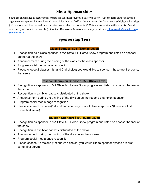### **Show Sponsorships**

<span id="page-20-0"></span>Youth are encouraged to secure sponsorships for the Massachusetts 4-H Horse Show. Use the form on the following page to collect sponsor information and return it by July 1st, 2022 to the address on the form. Any exhibitor who raises \$50 or more will be credited one stall fee. Any rider that collects \$250 in sponsorships will show for free all weekend (one horse/rider combo). Contact Brie-Anna Massoni with any questions: **[15massonib@gmail.com](mailto:15massonib@gmail.com) or 860-816-4722.**

### **Sponsorship Tiers**

#### **Class Sponsor: \$25- (Bronze Level)**

- ★ Recognition as a class sponsor in MA State 4-H Horse Show program and listed on sponsor banner at the show
- $\star$  Announcement during the pinning of the class as the class sponsor
- ★ Program social media page recognition
- ★ Please choose 2 classes (1st and 2nd choice) you would like to sponsor \*these are first come, first serve

### **Reserve Champion Sponsor: \$50- (Silver Level)**

- ★ Recognition as sponsor in MA State 4-H Horse Show program and listed on sponsor banner at the show
- $\star$  Recognition in exhibitor packets distributed at the show
- $\star$  Announcement during the pinning of the division as the reserve champion sponsor
- $\star$  Program social media page recognition
- ★ Please choose 2 divisions(1st and 2nd choice) you would like to sponsor \*(these are first come, first serve)

### **Division Sponsor: \$100- (Gold Level)**

- ★ Recognition as sponsor in MA State 4-H Horse Show program and listed on sponsor banner at the show
- $\star$  Recognition in exhibitor packets distributed at the show
- $\star$  Announcement during the pinning of the division as the sponsor
- ★ Program social media page recognition
- ★ Please choose 2 divisions (1st and 2nd choice) you would like to sponsor \*(these are first come, first serve)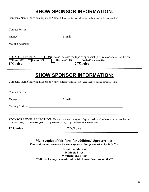### **SHOW SPONSOR INFORMATION:**

Company Name/Individual Sponsor Name: (Please print name to be used in show catalog for sponsorship)

 $\mathcal{L}_\mathcal{L} = \mathcal{L}_\mathcal{L} = \mathcal{L}_\mathcal{L} = \mathcal{L}_\mathcal{L} = \mathcal{L}_\mathcal{L} = \mathcal{L}_\mathcal{L} = \mathcal{L}_\mathcal{L} = \mathcal{L}_\mathcal{L} = \mathcal{L}_\mathcal{L} = \mathcal{L}_\mathcal{L} = \mathcal{L}_\mathcal{L} = \mathcal{L}_\mathcal{L} = \mathcal{L}_\mathcal{L} = \mathcal{L}_\mathcal{L} = \mathcal{L}_\mathcal{L} = \mathcal{L}_\mathcal{L} = \mathcal{L}_\mathcal{L}$ 

| Contact Person:                                                                                                                                                                     |  |
|-------------------------------------------------------------------------------------------------------------------------------------------------------------------------------------|--|
|                                                                                                                                                                                     |  |
| Mailing Address: 1988 and 1989 and 1989 and 1989 and 1989 and 1989 and 1989 and 1989 and 1989 and 1989 and 198                                                                      |  |
| <b>SPONSOR LEVEL SELECTION:</b> Please indicate the type of sponsorship. Circle or check box below.<br>Class (\$25) Reserve (\$50) Division (\$100)<br><b>Product/Item donation</b> |  |
| <b>SHOW SPONSOR INFORMATION:</b><br>Company Name/Individual Sponsor Name: (Please print name to be used in show catalog for sponsorship)                                            |  |
|                                                                                                                                                                                     |  |
|                                                                                                                                                                                     |  |
| Mailing Address: 1988 and 2008 and 2008 and 2008 and 2008 and 2008 and 2008 and 2008 and 2008 and 2008 and 200                                                                      |  |
| <b>SPONSOR LEVEL SELECTION:</b> Please indicate the type of sponsorship. Circle or check box below.<br>Class (\$25) Reserve (\$50) Division (\$100) Product/Item donation           |  |
| 2 <sup>nd</sup> Choice<br>1 <sup>st</sup> Choice                                                                                                                                    |  |

**Make copies of this form for additional Sponsorships.** *Return form and payment for show sponsorships postmarked by July 1st to*

**Brie-Anna Massoni 16 Maple Street Westfield MA 01085 \*\*all checks may be made out to 4-H Horse Program of MA\*\***